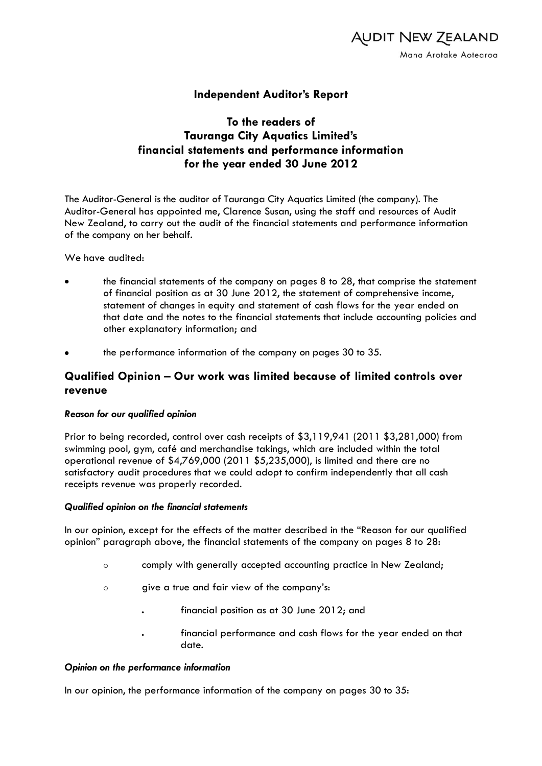

## **Independent Auditor's Report**

# **To the readers of Tauranga City Aquatics Limited's financial statements and performance information for the year ended 30 June 2012**

The Auditor-General is the auditor of Tauranga City Aquatics Limited (the company). The Auditor-General has appointed me, Clarence Susan, using the staff and resources of Audit New Zealand, to carry out the audit of the financial statements and performance information of the company on her behalf.

We have audited:

- the financial statements of the company on pages 8 to 28, that comprise the statement of financial position as at 30 June 2012, the statement of comprehensive income, statement of changes in equity and statement of cash flows for the year ended on that date and the notes to the financial statements that include accounting policies and other explanatory information; and
- the performance information of the company on pages 30 to 35.

### **Qualified Opinion – Our work was limited because of limited controls over revenue**

### *Reason for our qualified opinion*

Prior to being recorded, control over cash receipts of \$3,119,941 (2011 \$3,281,000) from swimming pool, gym, café and merchandise takings, which are included within the total operational revenue of \$4,769,000 (2011 \$5,235,000), is limited and there are no satisfactory audit procedures that we could adopt to confirm independently that all cash receipts revenue was properly recorded.

#### *Qualified opinion on the financial statements*

In our opinion, except for the effects of the matter described in the "Reason for our qualified opinion" paragraph above, the financial statements of the company on pages 8 to 28:

- comply with generally accepted accounting practice in New Zealand;
- give a true and fair view of the company's:
	- financial position as at 30 June 2012; and
		- financial performance and cash flows for the year ended on that date.

### *Opinion on the performance information*

In our opinion, the performance information of the company on pages 30 to 35: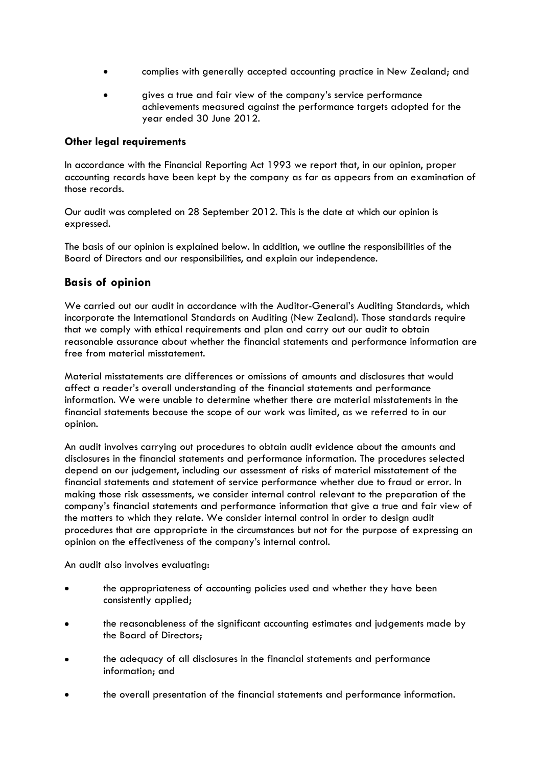- complies with generally accepted accounting practice in New Zealand; and
- gives a true and fair view of the company's service performance achievements measured against the performance targets adopted for the year ended 30 June 2012.

### **Other legal requirements**

In accordance with the Financial Reporting Act 1993 we report that, in our opinion, proper accounting records have been kept by the company as far as appears from an examination of those records.

Our audit was completed on 28 September 2012. This is the date at which our opinion is expressed.

The basis of our opinion is explained below. In addition, we outline the responsibilities of the Board of Directors and our responsibilities, and explain our independence.

### **Basis of opinion**

We carried out our audit in accordance with the Auditor-General's Auditing Standards, which incorporate the International Standards on Auditing (New Zealand). Those standards require that we comply with ethical requirements and plan and carry out our audit to obtain reasonable assurance about whether the financial statements and performance information are free from material misstatement.

Material misstatements are differences or omissions of amounts and disclosures that would affect a reader's overall understanding of the financial statements and performance information. We were unable to determine whether there are material misstatements in the financial statements because the scope of our work was limited, as we referred to in our opinion.

An audit involves carrying out procedures to obtain audit evidence about the amounts and disclosures in the financial statements and performance information. The procedures selected depend on our judgement, including our assessment of risks of material misstatement of the financial statements and statement of service performance whether due to fraud or error. In making those risk assessments, we consider internal control relevant to the preparation of the company's financial statements and performance information that give a true and fair view of the matters to which they relate. We consider internal control in order to design audit procedures that are appropriate in the circumstances but not for the purpose of expressing an opinion on the effectiveness of the company's internal control.

An audit also involves evaluating:

- the appropriateness of accounting policies used and whether they have been consistently applied;
- the reasonableness of the significant accounting estimates and judgements made by the Board of Directors;
- the adequacy of all disclosures in the financial statements and performance information; and
- the overall presentation of the financial statements and performance information.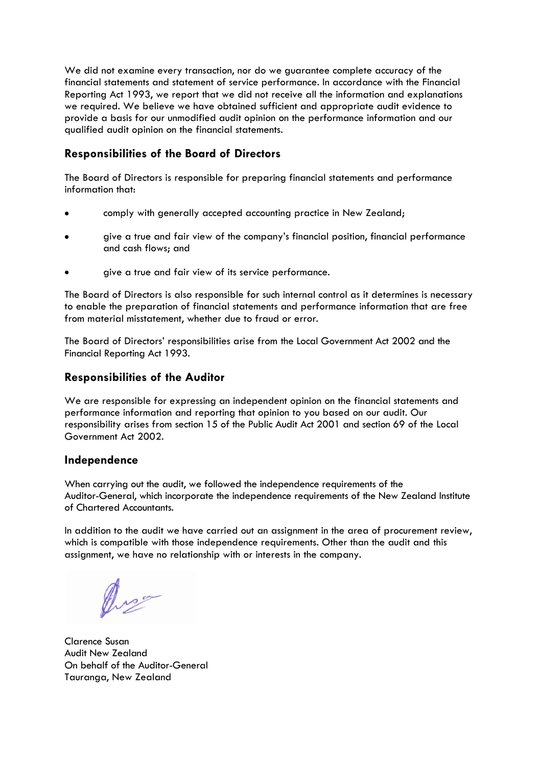We did not examine every transaction, nor do we guarantee complete accuracy of the financial statements and statement of service performance. In accordance with the Financial Reporting Act 1993, we report that we did not receive all the information and explanations we required. We believe we have obtained sufficient and appropriate audit evidence to provide a basis for our unmodified audit opinion on the performance information and our qualified audit opinion on the financial statements.

# **Responsibilities of the Board of Directors**

The Board of Directors is responsible for preparing financial statements and performance information that:

- comply with generally accepted accounting practice in New Zealand;
- give a true and fair view of the company's financial position, financial performance and cash flows; and
- give a true and fair view of its service performance.

The Board of Directors is also responsible for such internal control as it determines is necessary to enable the preparation of financial statements and performance information that are free from material misstatement, whether due to fraud or error.

The Board of Directors' responsibilities arise from the Local Government Act 2002 and the Financial Reporting Act 1993.

### **Responsibilities of the Auditor**

We are responsible for expressing an independent opinion on the financial statements and performance information and reporting that opinion to you based on our audit. Our responsibility arises from section 15 of the Public Audit Act 2001 and section 69 of the Local Government Act 2002.

### **Independence**

When carrying out the qudit, we followed the independence requirements of the Auditor-General, which incorporate the independence requirements of the New Zealand Institute of Chartered Accountants.

In addition to the audit we have carried out an assignment in the area of procurement review, which is compatible with those independence requirements. Other than the audit and this assignment, we have no relationship with or interests in the company.

Clarence Susan Audit New Zealand On behalf of the Auditor-General Tauranga, New Zealand